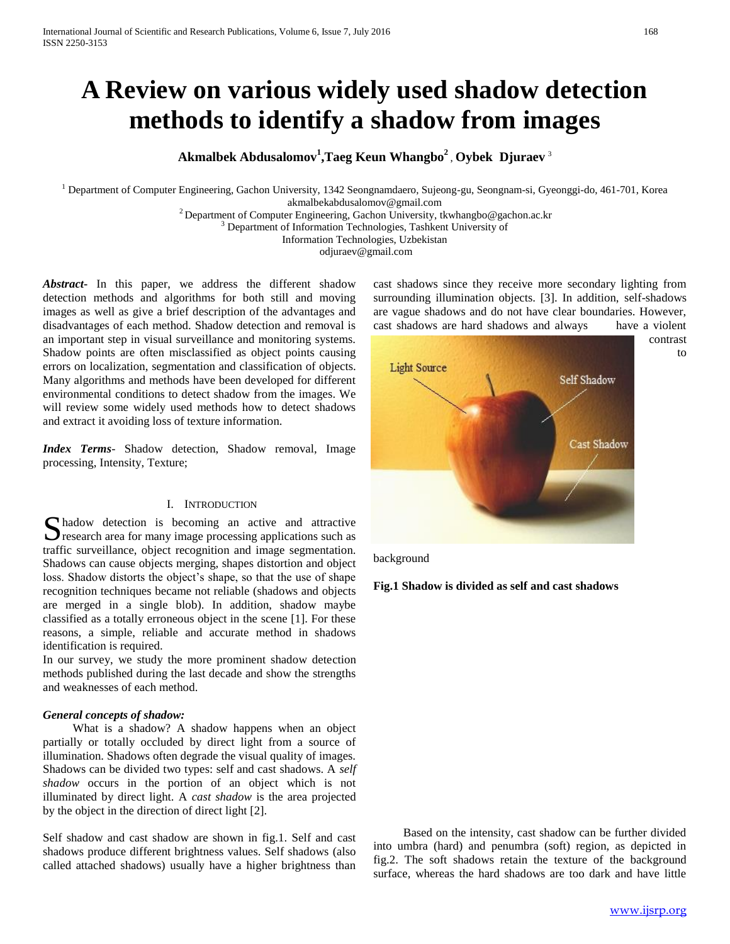# **A Review on various widely used shadow detection methods to identify a shadow from images**

# **Akmalbek Abdusalomov<sup>1</sup> ,Taeg Keun Whangbo<sup>2</sup>** , **Oybek Djuraev** <sup>3</sup>

<sup>1</sup> Department of Computer Engineering, Gachon University, 1342 Seongnamdaero, Sujeong-gu, Seongnam-si, Gyeonggi-do, 461-701, Korea

akmalbekabdusalomov@gmail.com

<sup>2</sup> Department of Computer Engineering, Gachon University, tkwhangbo@gachon.ac.kr

<sup>3</sup> Department of Information Technologies, Tashkent University of

Information Technologies, Uzbekistan

odjuraev@gmail.com

*Abstract***-** In this paper, we address the different shadow detection methods and algorithms for both still and moving images as well as give a brief description of the advantages and disadvantages of each method. Shadow detection and removal is an important step in visual surveillance and monitoring systems. Shadow points are often misclassified as object points causing errors on localization, segmentation and classification of objects. Many algorithms and methods have been developed for different environmental conditions to detect shadow from the images. We will review some widely used methods how to detect shadows and extract it avoiding loss of texture information.

*Index Terms*- Shadow detection, Shadow removal, Image processing, Intensity, Texture;

# I. INTRODUCTION

hadow detection is becoming an active and attractive S hadow detection is becoming an active and attractive<br>
S research area for many image processing applications such as traffic surveillance, object recognition and image segmentation. Shadows can cause objects merging, shapes distortion and object loss. Shadow distorts the object's shape, so that the use of shape recognition techniques became not reliable (shadows and objects are merged in a single blob). In addition, shadow maybe classified as a totally erroneous object in the scene [1]. For these reasons, a simple, reliable and accurate method in shadows identification is required.

In our survey, we study the more prominent shadow detection methods published during the last decade and show the strengths and weaknesses of each method.

# *General concepts of shadow:*

 What is a shadow? A shadow happens when an object partially or totally occluded by direct light from a source of illumination. Shadows often degrade the visual quality of images. Shadows can be divided two types: self and cast shadows. A *self shadow* occurs in the portion of an object which is not illuminated by direct light. A *cast shadow* is the area projected by the object in the direction of direct light [2].

Self shadow and cast shadow are shown in fig.1. Self and cast shadows produce different brightness values. Self shadows (also called attached shadows) usually have a higher brightness than

cast shadows since they receive more secondary lighting from surrounding illumination objects. [3]. In addition, self-shadows are vague shadows and do not have clear boundaries. However, cast shadows are hard shadows and always have a violent



background

# **Fig.1 Shadow is divided as self and cast shadows**

 Based on the intensity, cast shadow can be further divided into umbra (hard) and penumbra (soft) region, as depicted in fig.2. The soft shadows retain the texture of the background surface, whereas the hard shadows are too dark and have little

to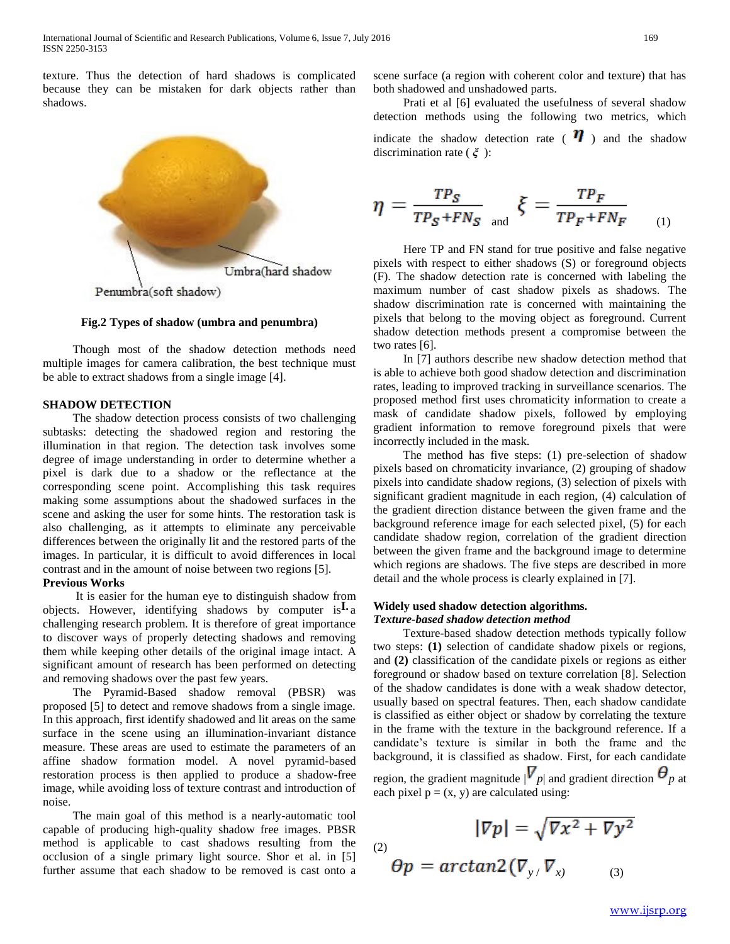texture. Thus the detection of hard shadows is complicated because they can be mistaken for dark objects rather than shadows.



**Fig.2 Types of shadow (umbra and penumbra)**

 Though most of the shadow detection methods need multiple images for camera calibration, the best technique must be able to extract shadows from a single image [4].

#### **SHADOW DETECTION**

 The shadow detection process consists of two challenging subtasks: detecting the shadowed region and restoring the illumination in that region. The detection task involves some degree of image understanding in order to determine whether a pixel is dark due to a shadow or the reflectance at the corresponding scene point. Accomplishing this task requires making some assumptions about the shadowed surfaces in the scene and asking the user for some hints. The restoration task is also challenging, as it attempts to eliminate any perceivable differences between the originally lit and the restored parts of the images. In particular, it is difficult to avoid differences in local contrast and in the amount of noise between two regions [5].

# **Previous Works**

 It is easier for the human eye to distinguish shadow from objects. However, identifying shadows by computer is  $\mathbf{I} \cdot \mathbf{a}$ challenging research problem. It is therefore of great importance to discover ways of properly detecting shadows and removing them while keeping other details of the original image intact. A significant amount of research has been performed on detecting and removing shadows over the past few years.

 The Pyramid-Based shadow removal (PBSR) was proposed [5] to detect and remove shadows from a single image. In this approach, first identify shadowed and lit areas on the same surface in the scene using an illumination-invariant distance measure. These areas are used to estimate the parameters of an affine shadow formation model. A novel pyramid-based restoration process is then applied to produce a shadow-free image, while avoiding loss of texture contrast and introduction of noise.

 The main goal of this method is a nearly-automatic tool capable of producing high-quality shadow free images. PBSR method is applicable to cast shadows resulting from the occlusion of a single primary light source. Shor et al. in [5] further assume that each shadow to be removed is cast onto a

scene surface (a region with coherent color and texture) that has both shadowed and unshadowed parts.

 Prati et al [6] evaluated the usefulness of several shadow detection methods using the following two metrics, which indicate the shadow detection rate ( $\eta$ ) and the shadow discrimination rate ( *ξ* ):

$$
\eta = \frac{TP_S}{TP_S + FN_S} \sum_{\text{and}} \xi = \frac{TP_F}{TP_F + FN_F} \tag{1}
$$

 Here TP and FN stand for true positive and false negative pixels with respect to either shadows (S) or foreground objects (F). The shadow detection rate is concerned with labeling the maximum number of cast shadow pixels as shadows. The shadow discrimination rate is concerned with maintaining the pixels that belong to the moving object as foreground. Current shadow detection methods present a compromise between the two rates [6].

 In [7] authors describe new shadow detection method that is able to achieve both good shadow detection and discrimination rates, leading to improved tracking in surveillance scenarios. The proposed method first uses chromaticity information to create a mask of candidate shadow pixels, followed by employing gradient information to remove foreground pixels that were incorrectly included in the mask.

 The method has five steps: (1) pre-selection of shadow pixels based on chromaticity invariance, (2) grouping of shadow pixels into candidate shadow regions, (3) selection of pixels with significant gradient magnitude in each region, (4) calculation of the gradient direction distance between the given frame and the background reference image for each selected pixel, (5) for each candidate shadow region, correlation of the gradient direction between the given frame and the background image to determine which regions are shadows. The five steps are described in more detail and the whole process is clearly explained in [7].

# **I. Widely used shadow detection algorithms.** *Texture-based shadow detection method*

 Texture-based shadow detection methods typically follow two steps: **(1)** selection of candidate shadow pixels or regions, and **(2)** classification of the candidate pixels or regions as either foreground or shadow based on texture correlation [8]. Selection of the shadow candidates is done with a weak shadow detector, usually based on spectral features. Then, each shadow candidate is classified as either object or shadow by correlating the texture in the frame with the texture in the background reference. If a candidate's texture is similar in both the frame and the background, it is classified as shadow. First, for each candidate region, the gradient magnitude  $|\nabla_p|$  and gradient direction  $\theta_p$  at each pixel  $p = (x, y)$  are calculated using:

 $|\nabla p| = \sqrt{\nabla x^2 + \nabla y^2}$ 

(2)

$$
\theta p = \arctan 2(\nabla_{y} / \nabla_{x)}
$$
 (3)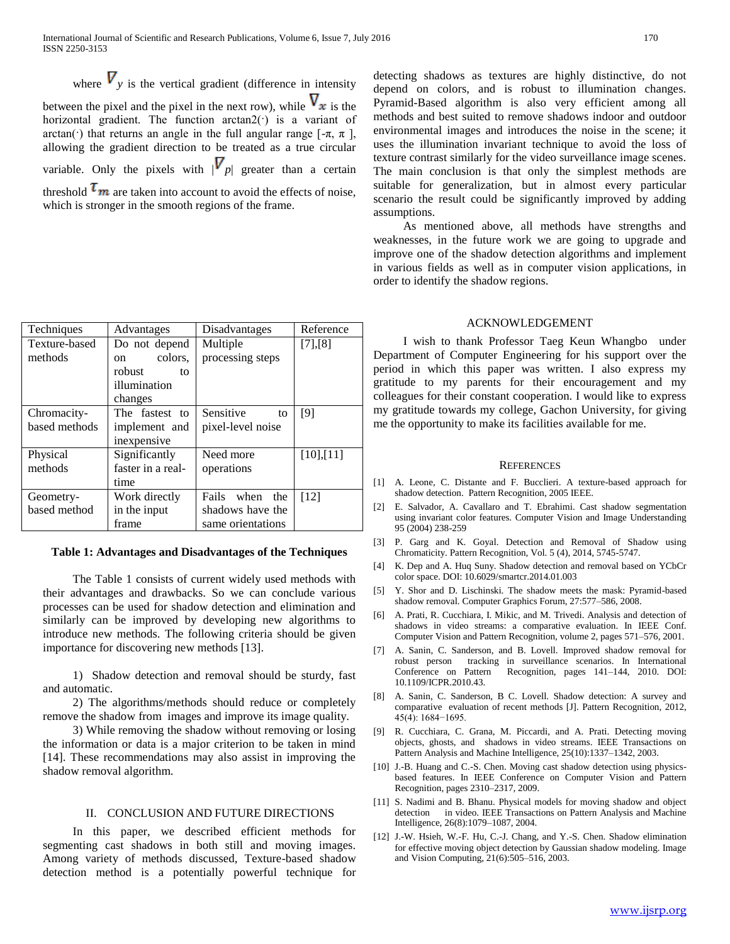where  $V_{v}$  is the vertical gradient (difference in intensity between the pixel and the pixel in the next row), while  $V_x$  is the horizontal gradient. The function arctan2(·) is a variant of arctan(·) that returns an angle in the full angular range  $[-\pi, \pi]$ , allowing the gradient direction to be treated as a true circular variable. Only the pixels with  $|V_{p}|$  greater than a certain threshold  $\tau_m$  are taken into account to avoid the effects of noise, which is stronger in the smooth regions of the frame.

| Techniques    | Advantages        | Disadvantages        | Reference |
|---------------|-------------------|----------------------|-----------|
| Texture-based | Do not depend     | Multiple             | [7],[8]   |
| methods       | colors,<br>on     | processing steps     |           |
|               | robust<br>tο      |                      |           |
|               | illumination      |                      |           |
|               | changes           |                      |           |
| Chromacity-   | The fastest to    | Sensitive<br>to      | [9]       |
| based methods | implement and     | pixel-level noise    |           |
|               | inexpensive       |                      |           |
| Physical      | Significantly     | Need more            | [10],[11] |
| methods       | faster in a real- | operations           |           |
|               | time              |                      |           |
| Geometry-     | Work directly     | Fails<br>when<br>the | [12]      |
| based method  | in the input      | shadows have the     |           |
|               | frame             | same orientations    |           |

#### **Table 1: Advantages and Disadvantages of the Techniques**

 The Table 1 consists of current widely used methods with their advantages and drawbacks. So we can conclude various processes can be used for shadow detection and elimination and similarly can be improved by developing new algorithms to introduce new methods. The following criteria should be given importance for discovering new methods [13].

 1) Shadow detection and removal should be sturdy, fast and automatic.

 2) The algorithms/methods should reduce or completely remove the shadow from images and improve its image quality.

 3) While removing the shadow without removing or losing the information or data is a major criterion to be taken in mind [14]. These recommendations may also assist in improving the shadow removal algorithm.

#### II. CONCLUSION AND FUTURE DIRECTIONS

 In this paper, we described efficient methods for segmenting cast shadows in both still and moving images. Among variety of methods discussed, Texture-based shadow detection method is a potentially powerful technique for detecting shadows as textures are highly distinctive, do not depend on colors, and is robust to illumination changes. Pyramid-Based algorithm is also very efficient among all methods and best suited to remove shadows indoor and outdoor environmental images and introduces the noise in the scene; it uses the illumination invariant technique to avoid the loss of texture contrast similarly for the video surveillance image scenes. The main conclusion is that only the simplest methods are suitable for generalization, but in almost every particular scenario the result could be significantly improved by adding assumptions.

 As mentioned above, all methods have strengths and weaknesses, in the future work we are going to upgrade and improve one of the shadow detection algorithms and implement in various fields as well as in computer vision applications, in order to identify the shadow regions.

#### ACKNOWLEDGEMENT

 I wish to thank Professor Taeg Keun Whangbo under Department of Computer Engineering for his support over the period in which this paper was written. I also express my gratitude to my parents for their encouragement and my colleagues for their constant cooperation. I would like to express my gratitude towards my college, Gachon University, for giving me the opportunity to make its facilities available for me.

#### **REFERENCES**

- [1] A. Leone, C. Distante and F. Bucclieri. A texture-based approach for shadow detection. Pattern Recognition, 2005 IEEE.
- [2] E. Salvador, A. Cavallaro and T. Ebrahimi. Cast shadow segmentation using invariant color features. Computer Vision and Image Understanding 95 (2004) 238-259
- [3] P. Garg and K. Goyal. Detection and Removal of Shadow using Chromaticity. Pattern Recognition, Vol. 5 (4), 2014, 5745-5747.
- [4] K. Dep and A. Huq Suny. Shadow detection and removal based on YCbCr color space. DOI: 10.6029/smartcr.2014.01.003
- [5] Y. Shor and D. Lischinski. The shadow meets the mask: Pyramid-based shadow removal. Computer Graphics Forum, 27:577–586, 2008.
- [6] A. Prati, R. Cucchiara, I. Mikic, and M. Trivedi. Analysis and detection of shadows in video streams: a comparative evaluation. In IEEE Conf. Computer Vision and Pattern Recognition, volume 2, pages 571–576, 2001.
- [7] A. Sanin, C. Sanderson, and B. Lovell. Improved shadow removal for robust person tracking in surveillance scenarios. In International Conference on Pattern Recognition, pages 141–144, 2010. DOI: 10.1109/ICPR.2010.43.
- [8] A. Sanin, C. Sanderson, B C. Lovell. Shadow detection: A survey and comparative evaluation of recent methods [J]. Pattern Recognition, 2012, 45(4): 1684−1695.
- [9] R. Cucchiara, C. Grana, M. Piccardi, and A. Prati. Detecting moving objects, ghosts, and shadows in video streams. IEEE Transactions on Pattern Analysis and Machine Intelligence, 25(10):1337–1342, 2003.
- [10] J.-B. Huang and C.-S. Chen. Moving cast shadow detection using physicsbased features. In IEEE Conference on Computer Vision and Pattern Recognition, pages 2310–2317, 2009.
- [11] S. Nadimi and B. Bhanu. Physical models for moving shadow and object detection in video. IEEE Transactions on Pattern Analysis and Machine Intelligence, 26(8):1079–1087, 2004.
- [12] J.-W. Hsieh, W.-F. Hu, C.-J. Chang, and Y.-S. Chen. Shadow elimination for effective moving object detection by Gaussian shadow modeling. Image and Vision Computing, 21(6):505–516, 2003.